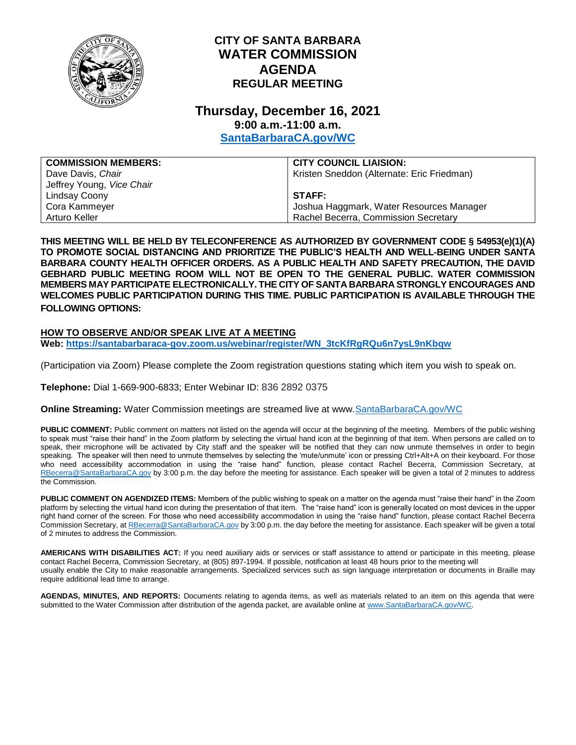

## **CITY OF SANTA BARBARA WATER COMMISSION AGENDA REGULAR MEETING**

## **Thursday, December 16, 2021 9:00 a.m.-11:00 a.m.**

**[SantaBarbaraCA.gov/WC](http://www.santabarbaraca.gov/wc)**

| <b>COMMISSION MEMBERS:</b> | <b>CITY COUNCIL LIAISION:</b>              |
|----------------------------|--------------------------------------------|
| Dave Davis, Chair          | Kristen Sneddon (Alternate: Eric Friedman) |
| Jeffrey Young, Vice Chair  |                                            |
| Lindsay Coony              | STAFF:                                     |
| Cora Kammeyer              | Joshua Haggmark, Water Resources Manager   |
| Arturo Keller              | Rachel Becerra, Commission Secretary       |

**THIS MEETING WILL BE HELD BY TELECONFERENCE AS AUTHORIZED BY GOVERNMENT CODE § 54953(e)(1)(A) TO PROMOTE SOCIAL DISTANCING AND PRIORITIZE THE PUBLIC'S HEALTH AND WELL-BEING UNDER SANTA BARBARA COUNTY HEALTH OFFICER ORDERS. AS A PUBLIC HEALTH AND SAFETY PRECAUTION, THE DAVID GEBHARD PUBLIC MEETING ROOM WILL NOT BE OPEN TO THE GENERAL PUBLIC. WATER COMMISSION MEMBERS MAY PARTICIPATE ELECTRONICALLY. THE CITY OF SANTA BARBARA STRONGLY ENCOURAGES AND WELCOMES PUBLIC PARTICIPATION DURING THIS TIME. PUBLIC PARTICIPATION IS AVAILABLE THROUGH THE FOLLOWING OPTIONS:**

## **HOW TO OBSERVE AND/OR SPEAK LIVE AT A MEETING**

**Web: [https://santabarbaraca-gov.zoom.us/webinar/register/WN\\_3tcKfRgRQu6n7ysL9nKbqw](https://santabarbaraca-gov.zoom.us/webinar/register/WN_3tcKfRgRQu6n7ysL9nKbqw)**

(Participation via Zoom) Please complete the Zoom registration questions stating which item you wish to speak on.

**Telephone:** Dial 1-669-900-6833; Enter Webinar ID: 836 2892 0375

**Online Streaming:** Water Commission meetings are streamed live at www[.SantaBarbaraCA.gov/WC](http://www.santabarabaraca.gov/wc)

PUBLIC COMMENT: Public comment on matters not listed on the agenda will occur at the beginning of the meeting. Members of the public wishing to speak must "raise their hand" in the Zoom platform by selecting the virtual hand icon at the beginning of that item. When persons are called on to speak, their microphone will be activated by City staff and the speaker will be notified that they can now unmute themselves in order to begin speaking. The speaker will then need to unmute themselves by selecting the 'mute/unmute' icon or pressing Ctrl+Alt+A on their keyboard. For those who need accessibility accommodation in using the "raise hand" function, please contact Rachel Becerra, Commission Secretary, at [RBecerra@SantaBarbaraCA.gov](mailto:RBecerra@SantaBarbaraCA.gov) by 3:00 p.m. the day before the meeting for assistance. Each speaker will be given a total of 2 minutes to address the Commission.

**PUBLIC COMMENT ON AGENDIZED ITEMS:** Members of the public wishing to speak on a matter on the agenda must "raise their hand" in the Zoom platform by selecting the virtual hand icon during the presentation of that item. The "raise hand" icon is generally located on most devices in the upper right hand corner of the screen. For those who need accessibility accommodation in using the "raise hand" function, please contact Rachel Becerra Commission Secretary, a[t RBecerra@SantaBarbaraCA.gov](mailto:RBecerra@SantaBarbaraCA.gov) by 3:00 p.m. the day before the meeting for assistance. Each speaker will be given a total of 2 minutes to address the Commission.

**AMERICANS WITH DISABILITIES ACT:** If you need auxiliary aids or services or staff assistance to attend or participate in this meeting, please contact Rachel Becerra, Commission Secretary, at (805) 897-1994. If possible, notification at least 48 hours prior to the meeting will usually enable the City to make reasonable arrangements. Specialized services such as sign language interpretation or documents in Braille may require additional lead time to arrange.

**AGENDAS, MINUTES, AND REPORTS:** Documents relating to agenda items, as well as materials related to an item on this agenda that were submitted to the Water Commission after distribution of the agenda packet, are available online a[t www.SantaBarbaraCA.gov/WC.](http://www.santabarbaraca.gov/WC)